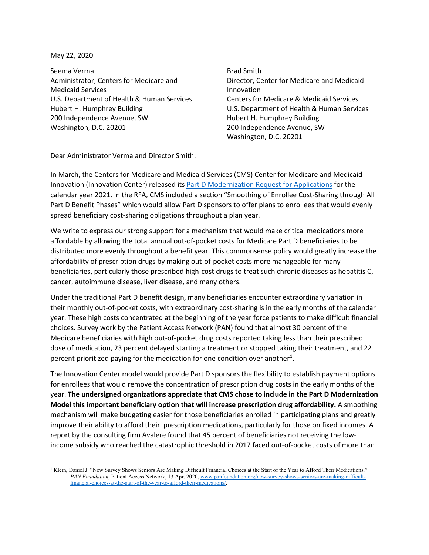May 22, 2020

Seema Verma Administrator, Centers for Medicare and Medicaid Services U.S. Department of Health & Human Services Hubert H. Humphrey Building 200 Independence Avenue, SW Washington, D.C. 20201

Brad Smith Director, Center for Medicare and Medicaid Innovation Centers for Medicare & Medicaid Services U.S. Department of Health & Human Services Hubert H. Humphrey Building 200 Independence Avenue, SW Washington, D.C. 20201

Dear Administrator Verma and Director Smith:

In March, the Centers for Medicare and Medicaid Services (CMS) Center for Medicare and Medicaid Innovation (Innovation Center) released its [Part D Modernization Request for Applications](https://innovation.cms.gov/files/x/partd-payment-modernization-model-rfa.pdf) for the calendar year 2021. In the RFA, CMS included a section "Smoothing of Enrollee Cost-Sharing through All Part D Benefit Phases" which would allow Part D sponsors to offer plans to enrollees that would evenly spread beneficiary cost-sharing obligations throughout a plan year.

We write to express our strong support for a mechanism that would make critical medications more affordable by allowing the total annual out-of-pocket costs for Medicare Part D beneficiaries to be distributed more evenly throughout a benefit year. This commonsense policy would greatly increase the affordability of prescription drugs by making out-of-pocket costs more manageable for many beneficiaries, particularly those prescribed high-cost drugs to treat such chronic diseases as hepatitis C, cancer, autoimmune disease, liver disease, and many others.

Under the traditional Part D benefit design, many beneficiaries encounter extraordinary variation in their monthly out-of-pocket costs, with extraordinary cost-sharing is in the early months of the calendar year. These high costs concentrated at the beginning of the year force patients to make difficult financial choices. Survey work by the Patient Access Network (PAN) found that almost 30 percent of the Medicare beneficiaries with high out-of-pocket drug costs reported taking less than their prescribed dose of medication, 23 percent delayed starting a treatment or stopped taking their treatment, and 22 percent prioritized paying for the medication for one condition over another<sup>[1](#page-0-0)</sup>.

The Innovation Center model would provide Part D sponsors the flexibility to establish payment options for enrollees that would remove the concentration of prescription drug costs in the early months of the year. **The undersigned organizations appreciate that CMS chose to include in the Part D Modernization Model this important beneficiary option that will increase prescription drug affordability.** A smoothing mechanism will make budgeting easier for those beneficiaries enrolled in participating plans and greatly improve their ability to afford their prescription medications, particularly for those on fixed incomes. A report by the consulting firm Avalere found that 45 percent of beneficiaries not receiving the lowincome subsidy who reached the catastrophic threshold in 2017 faced out-of-pocket costs of more than

<span id="page-0-0"></span><sup>&</sup>lt;sup>1</sup> Klein, Daniel J. "New Survey Shows Seniors Are Making Difficult Financial Choices at the Start of the Year to Afford Their Medications." *PAN Foundation*, Patient Access Network, 13 Apr. 2020[, www.panfoundation.org/new-survey-shows-seniors-are-making-difficult](http://www.panfoundation.org/new-survey-shows-seniors-are-making-difficult-financial-choices-at-the-start-of-the-year-to-afford-their-medications/)[financial-choices-at-the-start-of-the-year-to-afford-their-medications/.](http://www.panfoundation.org/new-survey-shows-seniors-are-making-difficult-financial-choices-at-the-start-of-the-year-to-afford-their-medications/)